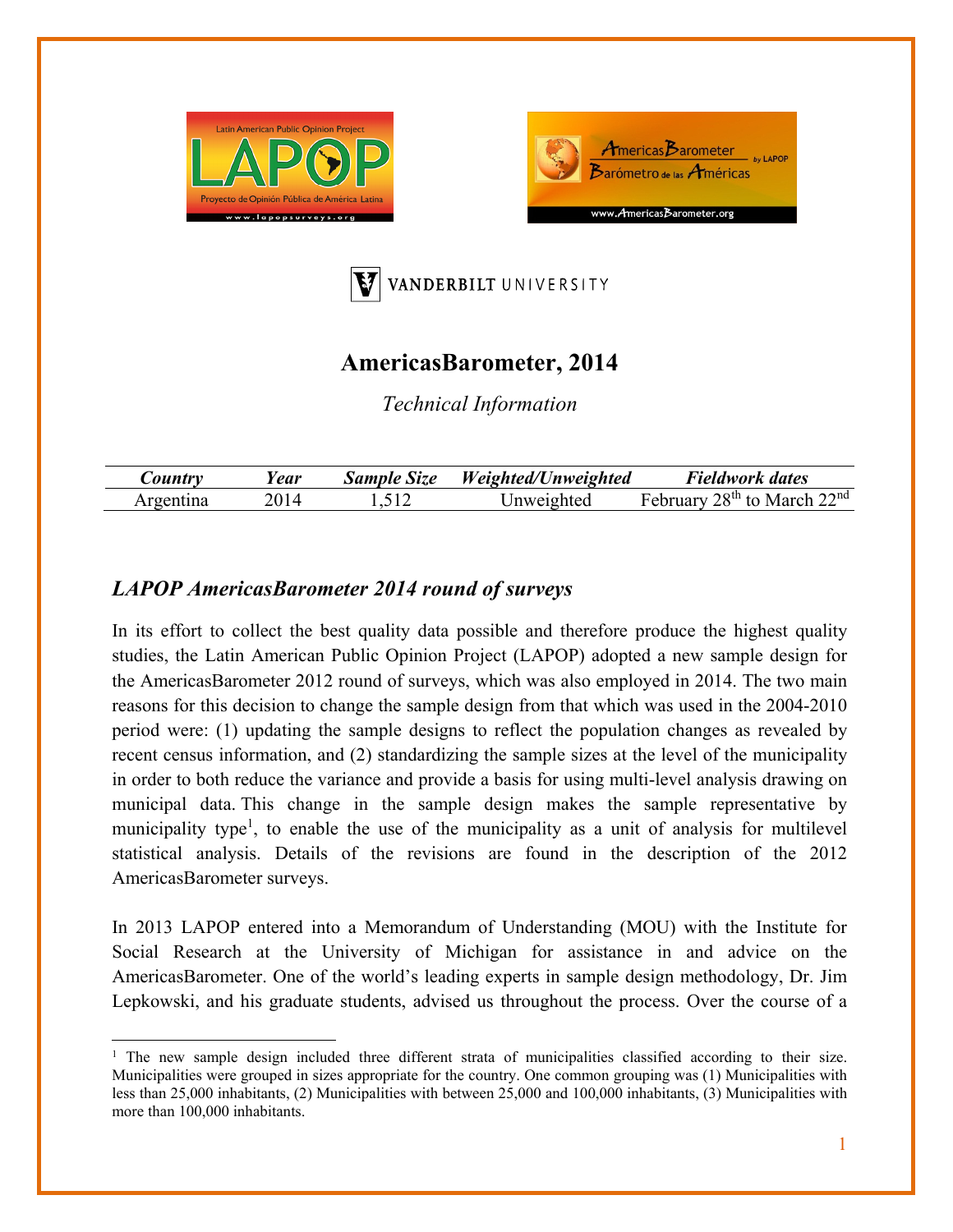





# **AmericasBarometer, 2014**

*Technical Information* 

| <i>Lountry</i> | Year | <b>Sample Size</b> | Weighted/Unweighted | Fieldwork dates                    |
|----------------|------|--------------------|---------------------|------------------------------------|
| oen1'          |      |                    | Inweighted          | $28th$ to<br>22nd<br>uarv<br>March |

## *LAPOP AmericasBarometer 2014 round of surveys*

In its effort to collect the best quality data possible and therefore produce the highest quality studies, the Latin American Public Opinion Project (LAPOP) adopted a new sample design for the AmericasBarometer 2012 round of surveys, which was also employed in 2014. The two main reasons for this decision to change the sample design from that which was used in the 2004-2010 period were: (1) updating the sample designs to reflect the population changes as revealed by recent census information, and (2) standardizing the sample sizes at the level of the municipality in order to both reduce the variance and provide a basis for using multi-level analysis drawing on municipal data. This change in the sample design makes the sample representative by municipality type<sup>1</sup>, to enable the use of the municipality as a unit of analysis for multilevel statistical analysis. Details of the revisions are found in the description of the 2012 AmericasBarometer surveys.

In 2013 LAPOP entered into a Memorandum of Understanding (MOU) with the Institute for Social Research at the University of Michigan for assistance in and advice on the AmericasBarometer. One of the world's leading experts in sample design methodology, Dr. Jim Lepkowski, and his graduate students, advised us throughout the process. Over the course of a

<sup>&</sup>lt;sup>1</sup> The new sample design included three different strata of municipalities classified according to their size. Municipalities were grouped in sizes appropriate for the country. One common grouping was (1) Municipalities with less than 25,000 inhabitants, (2) Municipalities with between 25,000 and 100,000 inhabitants, (3) Municipalities with more than 100,000 inhabitants.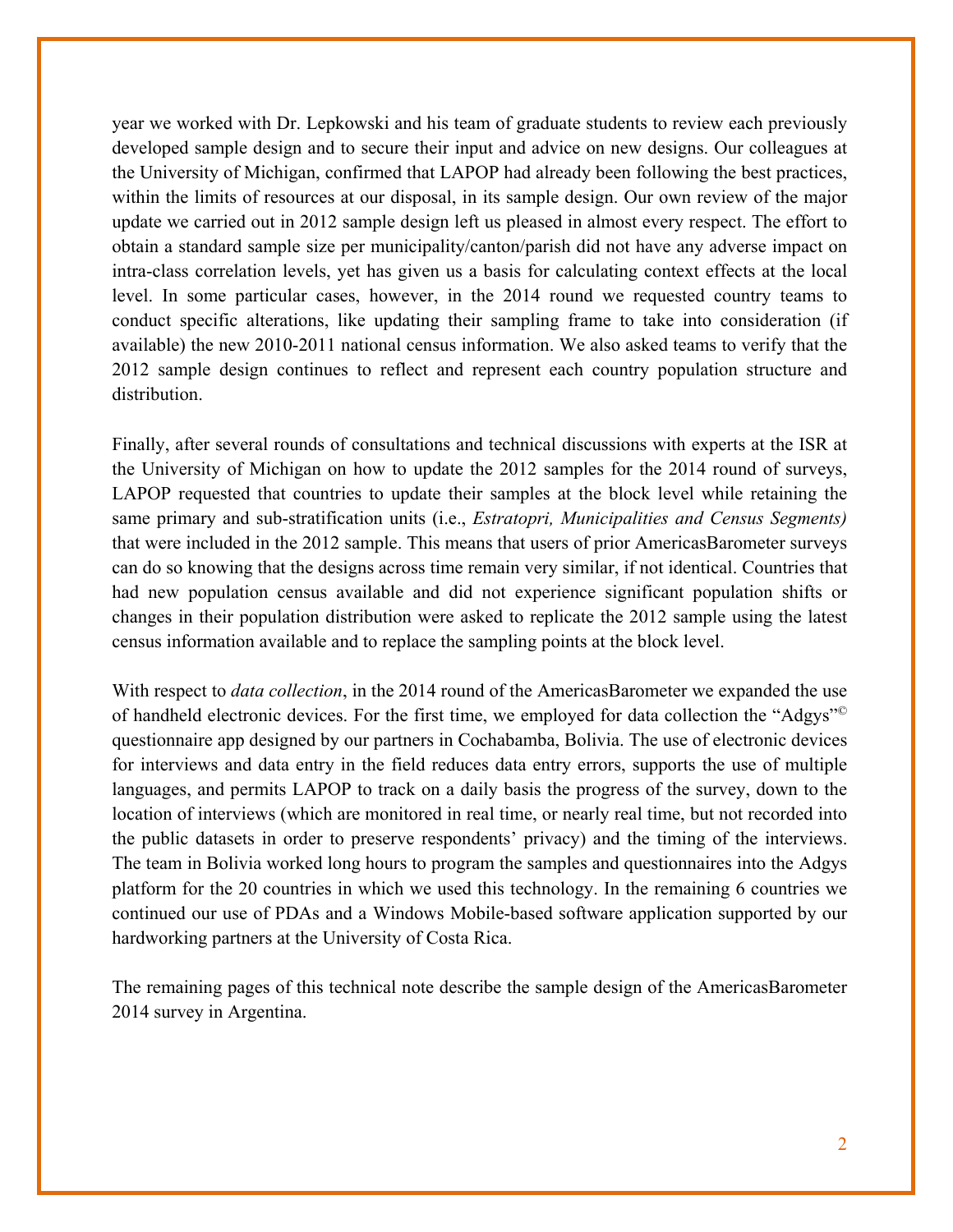year we worked with Dr. Lepkowski and his team of graduate students to review each previously developed sample design and to secure their input and advice on new designs. Our colleagues at the University of Michigan, confirmed that LAPOP had already been following the best practices, within the limits of resources at our disposal, in its sample design. Our own review of the major update we carried out in 2012 sample design left us pleased in almost every respect. The effort to obtain a standard sample size per municipality/canton/parish did not have any adverse impact on intra-class correlation levels, yet has given us a basis for calculating context effects at the local level. In some particular cases, however, in the 2014 round we requested country teams to conduct specific alterations, like updating their sampling frame to take into consideration (if available) the new 2010-2011 national census information. We also asked teams to verify that the 2012 sample design continues to reflect and represent each country population structure and distribution.

Finally, after several rounds of consultations and technical discussions with experts at the ISR at the University of Michigan on how to update the 2012 samples for the 2014 round of surveys, LAPOP requested that countries to update their samples at the block level while retaining the same primary and sub-stratification units (i.e., *Estratopri, Municipalities and Census Segments)*  that were included in the 2012 sample. This means that users of prior AmericasBarometer surveys can do so knowing that the designs across time remain very similar, if not identical. Countries that had new population census available and did not experience significant population shifts or changes in their population distribution were asked to replicate the 2012 sample using the latest census information available and to replace the sampling points at the block level.

With respect to *data collection*, in the 2014 round of the AmericasBarometer we expanded the use of handheld electronic devices. For the first time, we employed for data collection the "Adgys"© questionnaire app designed by our partners in Cochabamba, Bolivia. The use of electronic devices for interviews and data entry in the field reduces data entry errors, supports the use of multiple languages, and permits LAPOP to track on a daily basis the progress of the survey, down to the location of interviews (which are monitored in real time, or nearly real time, but not recorded into the public datasets in order to preserve respondents' privacy) and the timing of the interviews. The team in Bolivia worked long hours to program the samples and questionnaires into the Adgys platform for the 20 countries in which we used this technology. In the remaining 6 countries we continued our use of PDAs and a Windows Mobile-based software application supported by our hardworking partners at the University of Costa Rica.

The remaining pages of this technical note describe the sample design of the AmericasBarometer 2014 survey in Argentina.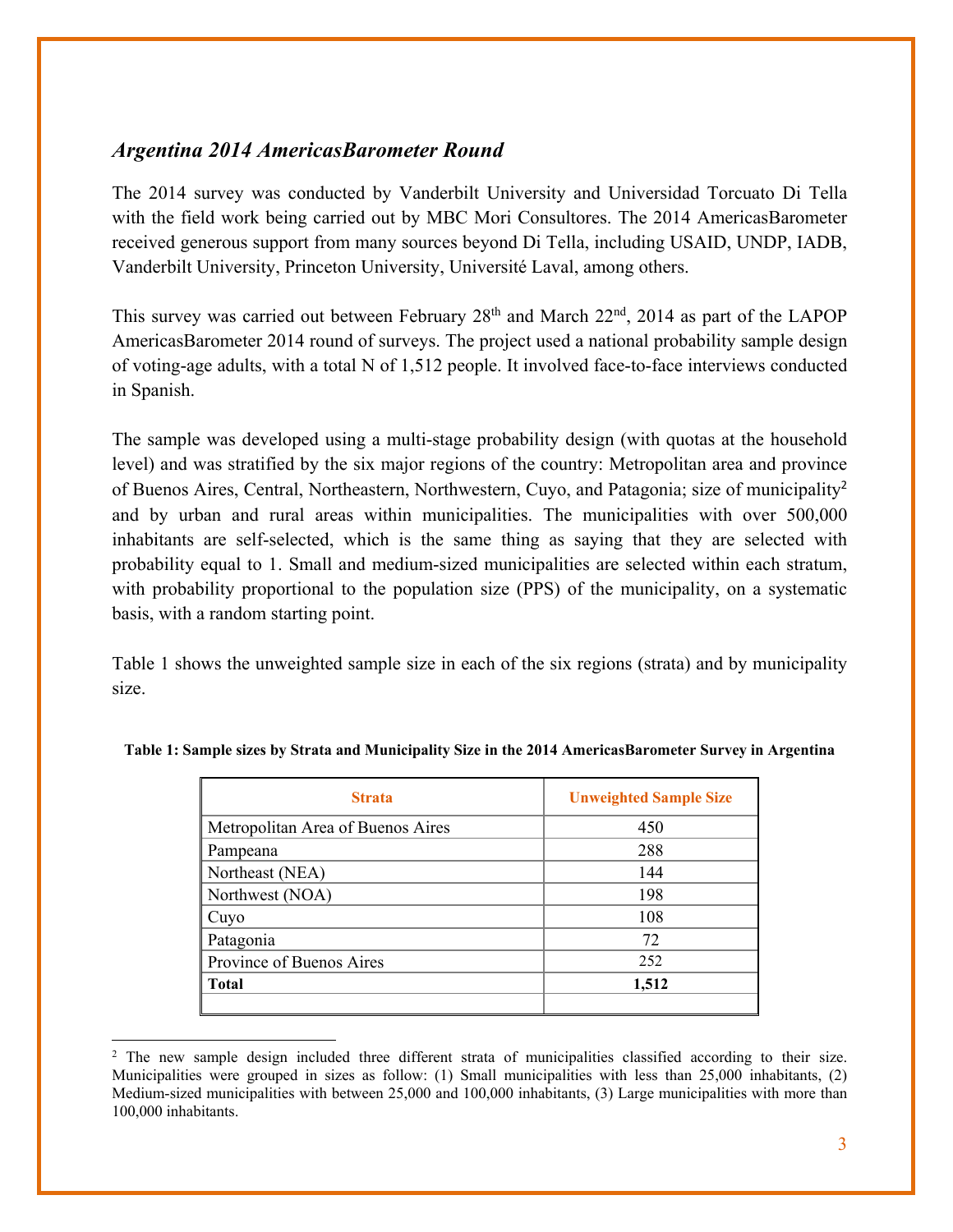### *Argentina 2014 AmericasBarometer Round*

The 2014 survey was conducted by Vanderbilt University and Universidad Torcuato Di Tella with the field work being carried out by MBC Mori Consultores. The 2014 AmericasBarometer received generous support from many sources beyond Di Tella, including USAID, UNDP, IADB, Vanderbilt University, Princeton University, Université Laval, among others.

This survey was carried out between February  $28<sup>th</sup>$  and March  $22<sup>nd</sup>$ ,  $2014$  as part of the LAPOP AmericasBarometer 2014 round of surveys. The project used a national probability sample design of voting-age adults, with a total N of 1,512 people. It involved face-to-face interviews conducted in Spanish.

The sample was developed using a multi-stage probability design (with quotas at the household level) and was stratified by the six major regions of the country: Metropolitan area and province of Buenos Aires, Central, Northeastern, Northwestern, Cuyo, and Patagonia; size of municipality<sup>2</sup> and by urban and rural areas within municipalities. The municipalities with over 500,000 inhabitants are self-selected, which is the same thing as saying that they are selected with probability equal to 1. Small and medium-sized municipalities are selected within each stratum, with probability proportional to the population size (PPS) of the municipality, on a systematic basis, with a random starting point.

Table 1 shows the unweighted sample size in each of the six regions (strata) and by municipality size.

| <b>Strata</b>                     | <b>Unweighted Sample Size</b> |
|-----------------------------------|-------------------------------|
| Metropolitan Area of Buenos Aires | 450                           |
| Pampeana                          | 288                           |
| Northeast (NEA)                   | 144                           |
| Northwest (NOA)                   | 198                           |
| Cuyo                              | 108                           |
| Patagonia                         | 72                            |
| Province of Buenos Aires          | 252                           |
| <b>Total</b>                      | 1,512                         |
|                                   |                               |

#### **Table 1: Sample sizes by Strata and Municipality Size in the 2014 AmericasBarometer Survey in Argentina**

 <sup>2</sup> The new sample design included three different strata of municipalities classified according to their size. Municipalities were grouped in sizes as follow: (1) Small municipalities with less than 25,000 inhabitants, (2) Medium-sized municipalities with between 25,000 and 100,000 inhabitants, (3) Large municipalities with more than 100,000 inhabitants.